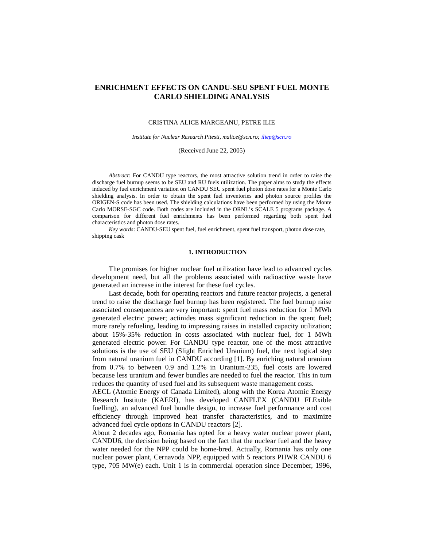# **ENRICHMENT EFFECTS ON CANDU-SEU SPENT FUEL MONTE CARLO SHIELDING ANALYSIS**

#### CRISTINA ALICE MARGEANU, PETRE ILIE

*Institute for Nuclear Research Pitesti, malice@scn.ro; iliep@scn.ro*

(Received June 22, 2005)

*Abstract:* For CANDU type reactors, the most attractive solution trend in order to raise the discharge fuel burnup seems to be SEU and RU fuels utilization. The paper aims to study the effects induced by fuel enrichment variation on CANDU SEU spent fuel photon dose rates for a Monte Carlo shielding analysis. In order to obtain the spent fuel inventories and photon source profiles the ORIGEN-S code has been used. The shielding calculations have been performed by using the Monte Carlo MORSE-SGC code. Both codes are included in the ORNL's SCALE 5 programs package. A comparison for different fuel enrichments has been performed regarding both spent fuel characteristics and photon dose rates.

*Key words*: CANDU-SEU spent fuel, fuel enrichment, spent fuel transport, photon dose rate, shipping cask

## **1. INTRODUCTION**

The promises for higher nuclear fuel utilization have lead to advanced cycles development need, but all the problems associated with radioactive waste have generated an increase in the interest for these fuel cycles.

Last decade, both for operating reactors and future reactor projects, a general trend to raise the discharge fuel burnup has been registered. The fuel burnup raise associated consequences are very important: spent fuel mass reduction for 1 MWh generated electric power; actinides mass significant reduction in the spent fuel; more rarely refueling, leading to impressing raises in installed capacity utilization; about 15%-35% reduction in costs associated with nuclear fuel, for 1 MWh generated electric power. For CANDU type reactor, one of the most attractive solutions is the use of SEU (Slight Enriched Uranium) fuel, the next logical step from natural uranium fuel in CANDU according [1]. By enriching natural uranium from 0.7% to between 0.9 and 1.2% in Uranium-235, fuel costs are lowered because less uranium and fewer bundles are needed to fuel the reactor. This in turn reduces the quantity of used fuel and its subsequent waste management costs.

AECL (Atomic Energy of Canada Limited), along with the Korea Atomic Energy Research Institute (KAERI), has developed CANFLEX (CANDU FLExible fuelling), an advanced fuel bundle design, to increase fuel performance and cost efficiency through improved heat transfer characteristics, and to maximize advanced fuel cycle options in CANDU reactors [2].

About 2 decades ago, Romania has opted for a heavy water nuclear power plant, CANDU6, the decision being based on the fact that the nuclear fuel and the heavy water needed for the NPP could be home-bred. Actually, Romania has only one nuclear power plant, Cernavoda NPP, equipped with 5 reactors PHWR CANDU 6 type, 705 MW(e) each. Unit 1 is in commercial operation since December, 1996,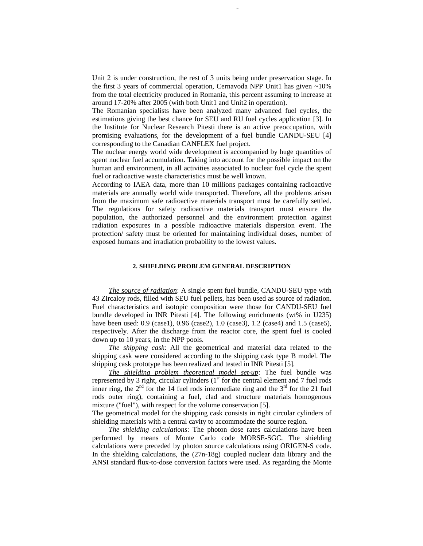Unit 2 is under construction, the rest of 3 units being under preservation stage. In the first 3 years of commercial operation, Cernavoda NPP Unit1 has given  $\sim10\%$ from the total electricity produced in Romania, this percent assuming to increase at around 17-20% after 2005 (with both Unit1 and Unit2 in operation).

The Romanian specialists have been analyzed many advanced fuel cycles, the estimations giving the best chance for SEU and RU fuel cycles application [3]. In the Institute for Nuclear Research Pitesti there is an active preoccupation, with promising evaluations, for the development of a fuel bundle CANDU-SEU [4] corresponding to the Canadian CANFLEX fuel project.

The nuclear energy world wide development is accompanied by huge quantities of spent nuclear fuel accumulation. Taking into account for the possible impact on the human and environment, in all activities associated to nuclear fuel cycle the spent fuel or radioactive waste characteristics must be well known.

According to IAEA data, more than 10 millions packages containing radioactive materials are annually world wide transported. Therefore, all the problems arisen from the maximum safe radioactive materials transport must be carefully settled. The regulations for safety radioactive materials transport must ensure the population, the authorized personnel and the environment protection against radiation exposures in a possible radioactive materials dispersion event. The protection/ safety must be oriented for maintaining individual doses, number of exposed humans and irradiation probability to the lowest values.

# **2. SHIELDING PROBLEM GENERAL DESCRIPTION**

*The source of radiation*: A single spent fuel bundle, CANDU-SEU type with 43 Zircaloy rods, filled with SEU fuel pellets, has been used as source of radiation. Fuel characteristics and isotopic composition were those for CANDU-SEU fuel bundle developed in INR Pitesti [4]. The following enrichments (wt% in U235) have been used: 0.9 (case1), 0.96 (case2), 1.0 (case3), 1.2 (case4) and 1.5 (case5), respectively. After the discharge from the reactor core, the spent fuel is cooled down up to 10 years, in the NPP pools.

*The shipping cask*: All the geometrical and material data related to the shipping cask were considered according to the shipping cask type B model. The shipping cask prototype has been realized and tested in INR Pitesti [5].

*The shielding problem theoretical model set-up*: The fuel bundle was represented by 3 right, circular cylinders  $(1<sup>st</sup>$  for the central element and 7 fuel rods inner ring, the  $2<sup>nd</sup>$  for the 14 fuel rods intermediate ring and the  $3<sup>rd</sup>$  for the 21 fuel rods outer ring), containing a fuel, clad and structure materials homogenous mixture ("fuel"), with respect for the volume conservation [5].

The geometrical model for the shipping cask consists in right circular cylinders of shielding materials with a central cavity to accommodate the source region.

*The shielding calculations*: The photon dose rates calculations have been performed by means of Monte Carlo code MORSE-SGC. The shielding calculations were preceded by photon source calculations using ORIGEN-S code. In the shielding calculations, the (27n-18g) coupled nuclear data library and the ANSI standard flux-to-dose conversion factors were used. As regarding the Monte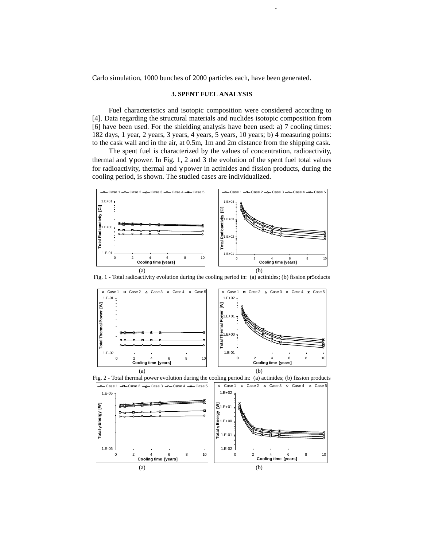Carlo simulation, 1000 bunches of 2000 particles each, have been generated.

373 Enrichment effects on CANDU-SEU spent fuel

#### **3. SPENT FUEL ANALYSIS**

Fuel characteristics and isotopic composition were considered according to [4]. Data regarding the structural materials and nuclides isotopic composition from [6] have been used. For the shielding analysis have been used: a) 7 cooling times: 182 days, 1 year, 2 years, 3 years, 4 years, 5 years, 10 years; b) 4 measuring points: to the cask wall and in the air, at 0.5m, 1m and 2m distance from the shipping cask.

The spent fuel is characterized by the values of concentration, radioactivity, thermal and  $\gamma$  power. In Fig. 1, 2 and 3 the evolution of the spent fuel total values for radioactivity, thermal and γ power in actinides and fission products, during the cooling period, is shown. The studied cases are individualized.



Fig. 1 - Total radioactivity evolution during the cooling period in: (a) actinides; (b) fission pr5oducts





Fig. 2 - Total thermal power evolution during the cooling period in: (a) actinides; (b) fission products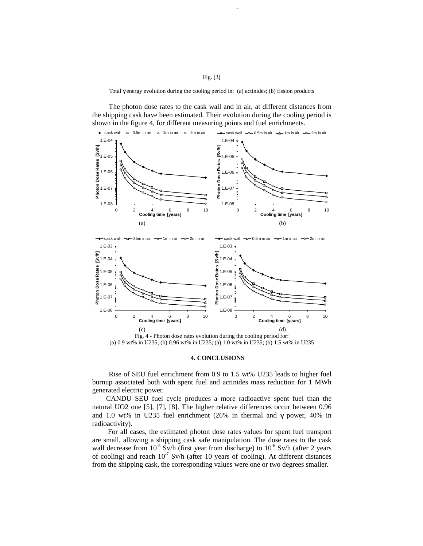### Fig. [3]

Total γ energy evolution during the cooling period in: (a) actinides; (b) fission products

The photon dose rates to the cask wall and in air, at different distances from the shipping cask have been estimated. Their evolution during the cooling period is shown in the figure 4, for different measuring points and fuel enrichments.



#### **4. CONCLUSIONS**

Rise of SEU fuel enrichment from 0.9 to 1.5 wt% U235 leads to higher fuel burnup associated both with spent fuel and actinides mass reduction for 1 MWh generated electric power.

CANDU SEU fuel cycle produces a more radioactive spent fuel than the natural UO2 one [5], [7], [8]. The higher relative differences occur between 0.96 and 1.0 wt% in U235 fuel enrichment (26% in thermal and  $\gamma$  power, 40% in radioactivity).

For all cases, the estimated photon dose rates values for spent fuel transport are small, allowing a shipping cask safe manipulation. The dose rates to the cask wall decrease from  $10^{-5}$  Sv/h (first year from discharge) to  $10^{-6}$  Sv/h (after 2 years of cooling) and reach  $10^{-7}$  Sv/h (after 10 years of cooling). At different distances from the shipping cask, the corresponding values were one or two degrees smaller.